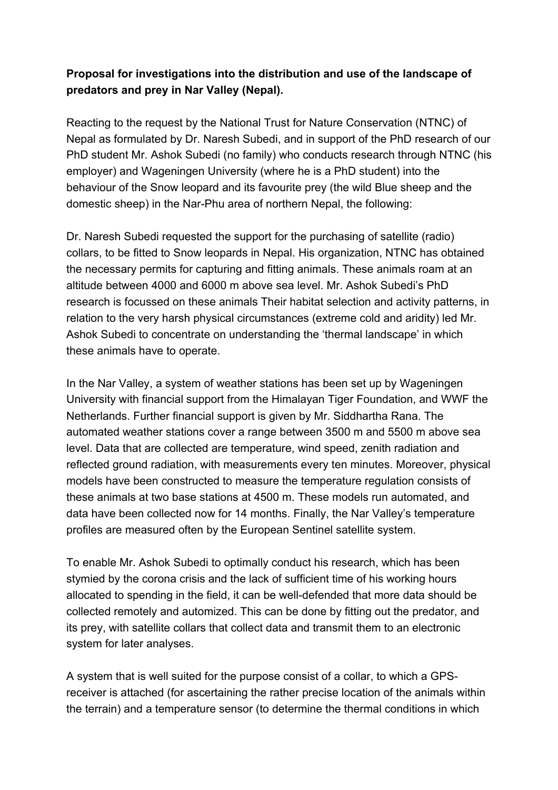## **Proposal for investigations into the distribution and use of the landscape of predators and prey in Nar Valley (Nepal).**

Reacting to the request by the National Trust for Nature Conservation (NTNC) of Nepal as formulated by Dr. Naresh Subedi, and in support of the PhD research of our PhD student Mr. Ashok Subedi (no family) who conducts research through NTNC (his employer) and Wageningen University (where he is a PhD student) into the behaviour of the Snow leopard and its favourite prey (the wild Blue sheep and the domestic sheep) in the Nar-Phu area of northern Nepal, the following:

Dr. Naresh Subedi requested the support for the purchasing of satellite (radio) collars, to be fitted to Snow leopards in Nepal. His organization, NTNC has obtained the necessary permits for capturing and fitting animals. These animals roam at an altitude between 4000 and 6000 m above sea level. Mr. Ashok Subedi's PhD research is focussed on these animals Their habitat selection and activity patterns, in relation to the very harsh physical circumstances (extreme cold and aridity) led Mr. Ashok Subedi to concentrate on understanding the 'thermal landscape' in which these animals have to operate.

In the Nar Valley, a system of weather stations has been set up by Wageningen University with financial support from the Himalayan Tiger Foundation, and WWF the Netherlands. Further financial support is given by Mr. Siddhartha Rana. The automated weather stations cover a range between 3500 m and 5500 m above sea level. Data that are collected are temperature, wind speed, zenith radiation and reflected ground radiation, with measurements every ten minutes. Moreover, physical models have been constructed to measure the temperature regulation consists of these animals at two base stations at 4500 m. These models run automated, and data have been collected now for 14 months. Finally, the Nar Valley's temperature profiles are measured often by the European Sentinel satellite system.

To enable Mr. Ashok Subedi to optimally conduct his research, which has been stymied by the corona crisis and the lack of sufficient time of his working hours allocated to spending in the field, it can be well-defended that more data should be collected remotely and automized. This can be done by fitting out the predator, and its prey, with satellite collars that collect data and transmit them to an electronic system for later analyses.

A system that is well suited for the purpose consist of a collar, to which a GPSreceiver is attached (for ascertaining the rather precise location of the animals within the terrain) and a temperature sensor (to determine the thermal conditions in which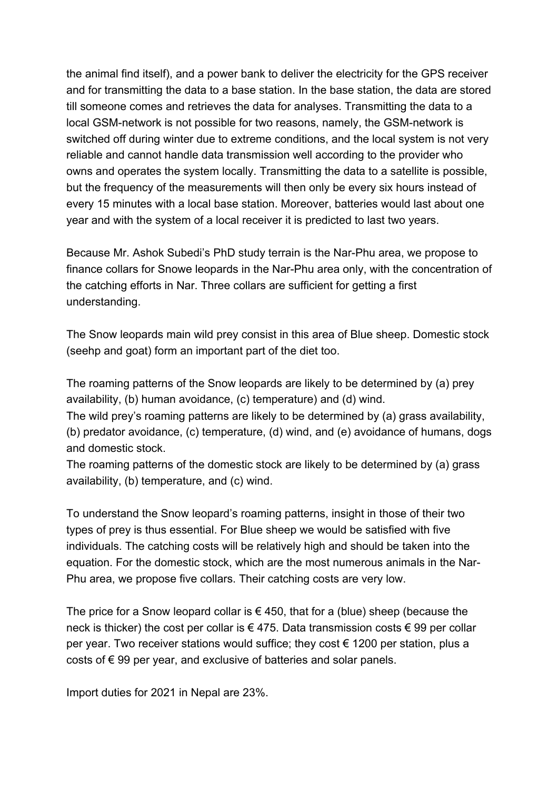the animal find itself), and a power bank to deliver the electricity for the GPS receiver and for transmitting the data to a base station. In the base station, the data are stored till someone comes and retrieves the data for analyses. Transmitting the data to a local GSM-network is not possible for two reasons, namely, the GSM-network is switched off during winter due to extreme conditions, and the local system is not very reliable and cannot handle data transmission well according to the provider who owns and operates the system locally. Transmitting the data to a satellite is possible, but the frequency of the measurements will then only be every six hours instead of every 15 minutes with a local base station. Moreover, batteries would last about one year and with the system of a local receiver it is predicted to last two years.

Because Mr. Ashok Subedi's PhD study terrain is the Nar-Phu area, we propose to finance collars for Snowe leopards in the Nar-Phu area only, with the concentration of the catching efforts in Nar. Three collars are sufficient for getting a first understanding.

The Snow leopards main wild prey consist in this area of Blue sheep. Domestic stock (seehp and goat) form an important part of the diet too.

The roaming patterns of the Snow leopards are likely to be determined by (a) prey availability, (b) human avoidance, (c) temperature) and (d) wind.

The wild prey's roaming patterns are likely to be determined by (a) grass availability, (b) predator avoidance, (c) temperature, (d) wind, and (e) avoidance of humans, dogs and domestic stock.

The roaming patterns of the domestic stock are likely to be determined by (a) grass availability, (b) temperature, and (c) wind.

To understand the Snow leopard's roaming patterns, insight in those of their two types of prey is thus essential. For Blue sheep we would be satisfied with five individuals. The catching costs will be relatively high and should be taken into the equation. For the domestic stock, which are the most numerous animals in the Nar-Phu area, we propose five collars. Their catching costs are very low.

The price for a Snow leopard collar is  $\epsilon$  450, that for a (blue) sheep (because the neck is thicker) the cost per collar is  $\epsilon$  475. Data transmission costs  $\epsilon$  99 per collar per year. Two receiver stations would suffice; they cost  $\epsilon$  1200 per station, plus a costs of  $\epsilon$  99 per year, and exclusive of batteries and solar panels.

Import duties for 2021 in Nepal are 23%.